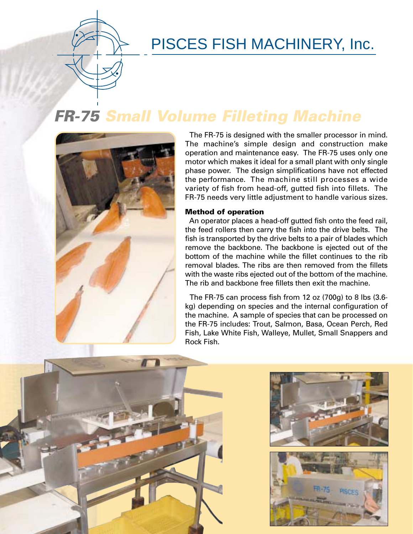### PISCES FISH MACHINERY, Inc.

# **FR-75 Small Volume Filleting Machine**



The FR-75 is designed with the smaller processor in mind. The machine's simple design and construction make operation and maintenance easy. The FR-75 uses only one motor which makes it ideal for a small plant with only single phase power. The design simplifications have not effected the performance. The machine still processes a wide variety of fish from head-off, gutted fish into fillets. The FR-75 needs very little adjustment to handle various sizes.

#### **Method of operation**

An operator places a head-off gutted fish onto the feed rail, the feed rollers then carry the fish into the drive belts. The fish is transported by the drive belts to a pair of blades which remove the backbone. The backbone is ejected out of the bottom of the machine while the fillet continues to the rib removal blades. The ribs are then removed from the fillets with the waste ribs ejected out of the bottom of the machine. The rib and backbone free fillets then exit the machine.

The FR-75 can process fish from 12 oz (700g) to 8 lbs (3.6 kg) depending on species and the internal configuration of the machine. A sample of species that can be processed on the FR-75 includes: Trout, Salmon, Basa, Ocean Perch, Red Fish, Lake White Fish, Walleye, Mullet, Small Snappers and Rock Fish.